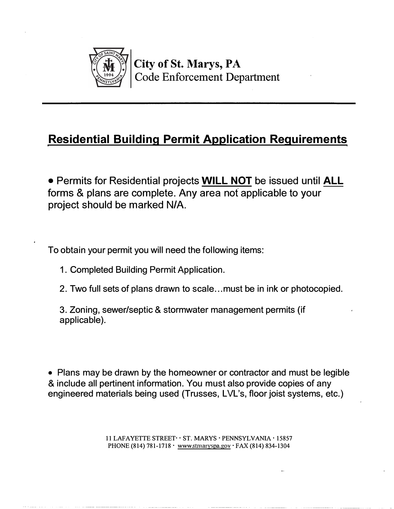

# **Residential Building Permit Application Requirements**

• Permits for Residential projects **WILL NOT** be issued until **ALL** forms & plans are complete. Any area not applicable to your project should be marked N/A.

To obtain your permit you will need the following items:

- 1. Completed Building Permit Application.
- 2. Two full sets of plans drawn to scale ... must be in ink or photocopied.

3. Zoning, sewer/septic & stormwater management permits (if applicable).

• Plans may be drawn by the homeowner or contractor and must be legible & include all pertinent information. You must also provide copies of any engineered materials being used (Trusses, LVL's, floor joist systems, etc.)

> 11 LAFAYETTE STREET··ST.MARYS· PENNSYLVANIA · 15857 PHONE (814) 781-1718· www.stmaryspa.gov · FAX (814) 834-1304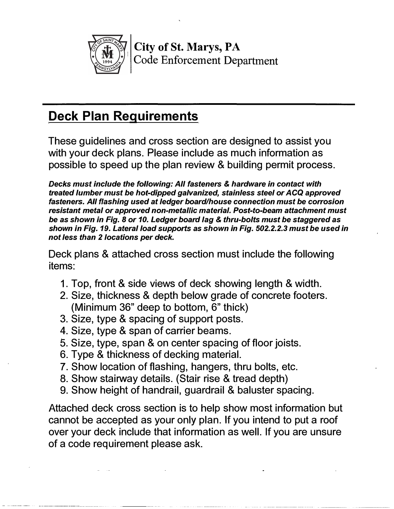

*��'?t* **City** of **St. Marys, PA** *\\J�=£t�f'f.fj*1 Code Enforcement Department

# **Deck Plan Requirements**

These guidelines and cross section are designed to assist you with your deck plans. Please include as much information as possible to speed up the plan review & building permit process.

*Decks must include the following: All fasteners* **&** *hardware in contact with treated lumber must be hot-dipped galvanized, stainless steel or ACQ approved fasteners. All flashing used at ledger board/house connection must be corrosion resistant metal or approved non-metallic material. Post-to-beam attachment must be as shown in Fig. 8 or 10. Ledger board lag* & *thru-bolts must be staggered as shown in Fig. 19. Lateral load supports as shown in Fig. 502.2.2.3 must be used in not less than 2 locations per deck.* 

Deck plans & attached cross section must include the following items:

- 1. Top, front & side views of deck showing length & width.
- 2. Size, thickness & depth below grade of concrete footers. (Minimum 36" deep to bottom, 6" thick)
- 3. Size, type & spacing of support posts.
- 4. Size, type & span of carrier beams.
- 5. Size, type, span & on center spacing of floor joists.
- 6. Type & thickness of decking material.
- 7. Show location of flashing, hangers, thru bolts, etc.
- 8. Show stairway details. (Stair rise & tread depth)
- 9. Show height of handrail, guardrail & baluster spacing.

Attached deck cross section is to help show most information but cannot be accepted as your only plan. If you intend to put a roof over your deck include that information as well. If you are unsure of a code requirement please ask.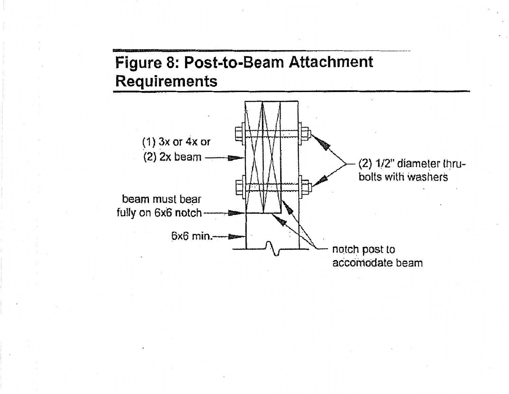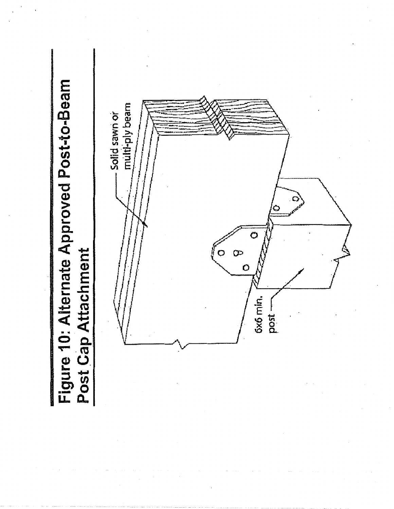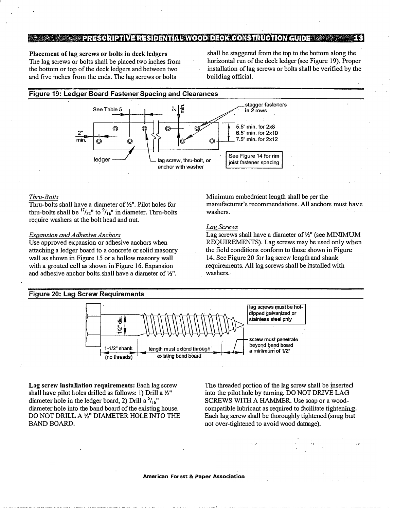#### $\mathbf{E}$ **EXECUTION PRESCRIPTIVE RESIDENTIAL WOOD DECK CONSTRUCTION GUIDE AND SETTLE PRESCRIPTIVE RESIDENTIAL WOOD DECK CONSTRUCTION GUIDE**

**Placement of lag screws or bolts in deck ledgers**  The lag screws or bolts shall be placed two inches from the bottom or top of the deck ledgers and between two and five inches from the ends. The lag screws or bolts

shall be staggered from the top to the bottom along the horizontal run of the deck ledger (see Figure 19). Proper installation of lag screws or bolts shall be verified by the building official.

#### **Figure 19: Ledger Board Fastener Spacing and Clearances**  stagger fasteners 치)들 See Table 5 **in** 2 rows **5.5" min.** for **2x8**  ⊙ **6.5" min.** for **2x10 7.5" min.** for **2x12 min.** ©  $\circledcirc$ See Figure 14 for **rim** ledger ——  $\Box$  lag screw, thru-bolt, or joist fastener spacing anchor with washer

### *Thru-Bolts*

Thru-bolts shall have a diameter of½". Pilot holes for thru-bolts shall be  $\frac{17}{22}$ " to  $\frac{9}{16}$ " in diameter. Thru-bolts require washers at the bolt head and nut.

### *Expansion and Adhesive Anchors*

Use approved expansion or adhesive anchors when attaching a ledger board to a concrete or solid masonry wall as shown in Figure 15 or a hollow masonry wall with a grouted cell as shown in Figure 16. Expansion and adhesive anchor bolts.shall have a diameter of½".

Minimum embedment length shall be per the manufacturer's recommendations. All anchors must have washers.

# *Lag Screws*

Lag screws shall have a diameter of½" (see MINIMUM REQUIREMENTS). Lag screws may be used only when the field conditions conform to those shown in Figure 14. See Figure 20 for lag screw length and shank requirements. All lag screws shall be installed with washers.



**Lag screw installation requirements:** Each lag screw shall have pilot holes drilled as follows: I) Drill a½" diameter hole in the ledger board, 2) Drill a <sup>5</sup>/16" diameter hole into the band board of the existing house. DO NOT DRILL A½" DIAMETER HOLE INTO THE BAND BOARD.

The threaded portion of the lag screw shall be inserted into the pilot hole by turning. DO NOT DRIVE LAG SCREWS WITH A HAMMER. Use soap or a woodcompatible lubricant as required to facilitate tightening. Each lag screw shall be thoroughly tightened (snug but not over-tightened to avoid wood damage).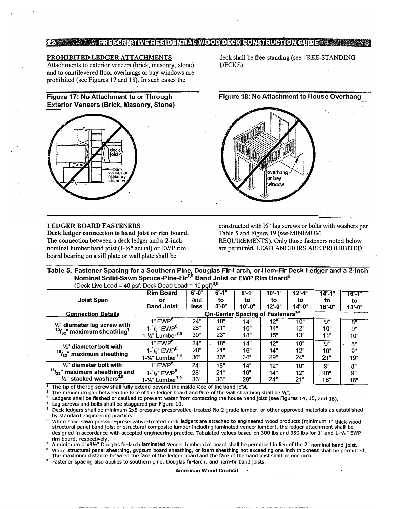## PRESCRIPTIVE RESIDENTIAL VOOD DECK CONSTRUCTION CUIDE

# **PROHIBITED LEDGER ATTACHMENTS**

Attachments to exterior veneers (brick, masonry, stone) and to cantilevered floor overhangs or bay windows are prohibited (see Figures 17 and 18). In such cases the

**Figure 17: No Attachment to or Through Exterior Veneers (Brick, Masonry, Stone)** 



## **LEDGER BOARD FASTENERS**

**Deck ledger connection to band joist or rim board.**  The connection between a deck ledger and a 2-inch nominal lumber band joist (1-½" actual) or EWP rim board bearing on a sill plate or wall plate shall be

deck shall be free-standing (see FREE-STANDING DECKS).

**Figure 18: No Attachment to House Overhang** 

overhang or bay window

constructed with ½" lag screws or bolts with washers per Table 5 and Figure 19 (see MINIMUM REQUIREMENTS). Only those fasteners noted below are permitted. LEAD ANCHORS ARE PROHIBITED.

**· Table 5. Fastener Spacing for a Southern Pine, Douglas Fir-Larch, or Hem-Fir Deck Ledger and a 2-inch Nominal Solid-Sawn Spruce-Pine-Fir<sup>7</sup> · <sup>9</sup>Band Joist or EWP Rim Board<sup>6</sup>** (Deck Live Load = 40 psf, Deck Dead Load = 10 psf) $^{3,6}$ 

| , pov. n. n. n. n.                                                       | To par, Door Dodd Loud                              | . <i>.</i> |            |            |            |            |                 |                    |
|--------------------------------------------------------------------------|-----------------------------------------------------|------------|------------|------------|------------|------------|-----------------|--------------------|
|                                                                          | <b>Rim Board</b>                                    | $6' - 0''$ | $6' - 1''$ | $8' - 1''$ | $10' - 1"$ | $12 - 1"$  | 14'-1"          | 16'-1"             |
| <b>Joist Span</b>                                                        | or                                                  | and        | to         | to         | to         | to         | to              | to                 |
|                                                                          | <b>Band Joist</b>                                   | less       | $8'$ -0"   | $10' - 0"$ | $12 - 0"$  | $14 - 0$ " | $16' - 0''$     | $18' - 0"$         |
| <b>Connection Details</b>                                                | <b>On-Center Spacing of Fasteners<sup>4,5</sup></b> |            |            |            |            |            |                 |                    |
| 1/2" diameter lag screw with<br>$15/32$ " maximum sheathing <sup>1</sup> | 1" $EWP^6$                                          | 24"        | 18"        | 14"        | 12"        | 10"        | 9"              | $8^{\overline{0}}$ |
|                                                                          | $1 - \frac{1}{8}$ " EWP <sup>6</sup>                | 28"        | 21"        | 16"        | 14"        | 12"        | 10"             | 9"                 |
|                                                                          | $1 - 1/2$ " Lumber <sup>7,9</sup>                   | 30"        | 23"        | 18"        | 15"        | 13"        | 11"             | 10"                |
| 1/ <sub>2</sub> " diameter bolt with<br>$15/32$ " maximum sheathing      | 1" $EWP^6$                                          | 24"        | 18"        | 14"        | 12"        | 10"        | 9"              | 8"                 |
|                                                                          | $1 - \frac{1}{8}$ " EWP <sup>6</sup>                | 28"        | 21"        | 16"        | 14"        | 12"        | 10"             | <b>g</b> "         |
|                                                                          | $1 - \frac{1}{2}$ " Lumber <sup>7,9</sup>           | 36"        | 36"        | 34"        | 29"        | 24"        | 21"             | 19"                |
| $\frac{1}{2}$ " diameter bolt with                                       | $1"$ EWP $6$                                        | 24"        | 18"        | 14"        | 12"        | 10"        | $\mathbf{Q}^n$  | 8"                 |
| $15/32$ " maximum sheathing and                                          | $1 - \frac{1}{8}$ " EWP <sup>6</sup>                | <b>28"</b> | 21"        | 16"        | 14"        | 12"        | 10 <sup>n</sup> | 9"                 |
| $\frac{1}{2}$ stacked washers <sup><math>2,8</math></sup>                | $1 - \frac{1}{2}$ " Lumber <sup>7,9</sup>           | 36"        | 36"        | 29"        | 24"        | 21"        | 18"             | 16"                |

The tip of the lag screw shall fully extend beyond the inside face of the band joist.

<sup>2</sup> The maximum gap between the face of the ledger board and face of the wall sheathing shall be  $\frac{1}{2}$ .

 $3$  Ledgers shall be flashed or caulked to prevent water from contacting the house band joist (see Figures 14, 15, and 16).<br>4 Les services and helte shall be staggered are Figure 10.

Lag screws and bolts shall be staggered per Figure 19.

<sup>5</sup>Deck ledgers shall be minimum 2x8 pressure-preservative-treated No.2 grade lumber, or other approved materials as established by standard engineering practice.

<sup>6</sup>When solid-sawn pressure-preservative-treated deck ledgers are attached to engineered wood products (minimum 1" thick wood structural panel band joist or structural composite lumber Including laminated veneer lumber), the ledger attachment shall be designed in accordance with accepted engineering practice. Tabulated values based on 300 lbs and 350 lbs for 1" and  $1-\frac{1}{8}$ " EWP rim board, respectively.

7 A minimum l"x9½" Douglas fir-larch laminated veneer lumber rim board shall be permitted in lieu of the 2" nominal band joist. <sup>8</sup>Wood structural panel sheathing, gypsum board sheathing, or foam sheathing not exceeding one inch thickness shall be permitted.

The maximum distance between the face of the ledger board and the face of the band joist shall be one inch.

Fastener spacing also applies to southern pine, Douglas fir-larch, and hem-fir band joists.

**American Wood Council**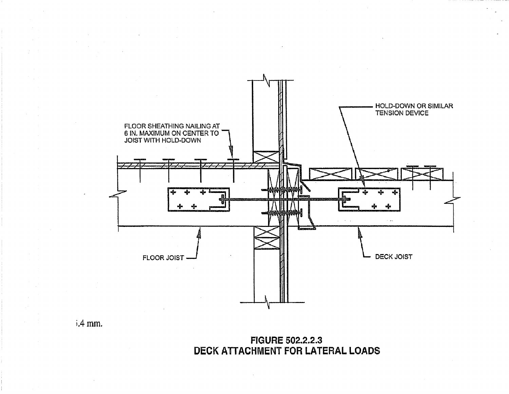

 $i.4$  mm.

**FIGURE 502.2.2.3** DECK ATTACHMENT FOR LATERAL LOADS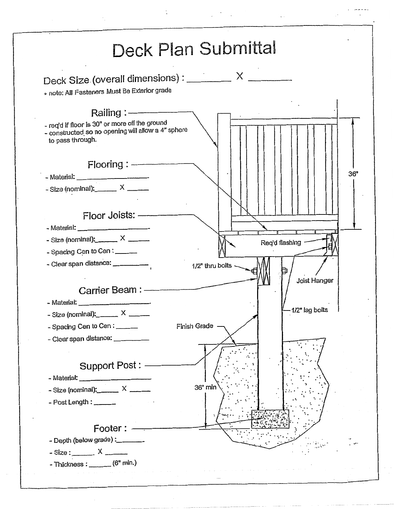